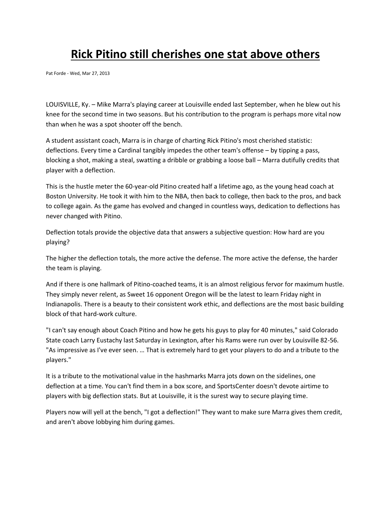## **Rick Pitino still cherishes one stat above others**

Pat Forde - Wed, Mar 27, 2013

LOUISVILLE, Ky. – Mike Marra's playing career at Louisville ended last September, when he blew out his knee for the second time in two seasons. But his contribution to the program is perhaps more vital now than when he was a spot shooter off the bench.

A student assistant coach, Marra is in charge of charting Rick Pitino's most cherished statistic: deflections. Every time a Cardinal tangibly impedes the other team's offense – by tipping a pass, blocking a shot, making a steal, swatting a dribble or grabbing a loose ball – Marra dutifully credits that player with a deflection.

This is the hustle meter the 60-year-old Pitino created half a lifetime ago, as the young head coach at Boston University. He took it with him to the NBA, then back to college, then back to the pros, and back to college again. As the game has evolved and changed in countless ways, dedication to deflections has never changed with Pitino.

Deflection totals provide the objective data that answers a subjective question: How hard are you playing?

The higher the deflection totals, the more active the defense. The more active the defense, the harder the team is playing.

And if there is one hallmark of Pitino-coached teams, it is an almost religious fervor for maximum hustle. They simply never relent, as Sweet 16 opponent Oregon will be the latest to learn Friday night in Indianapolis. There is a beauty to their consistent work ethic, and deflections are the most basic building block of that hard-work culture.

"I can't say enough about Coach Pitino and how he gets his guys to play for 40 minutes," said Colorado State coach Larry Eustachy last Saturday in Lexington, after his Rams were run over by Louisville 82-56. "As impressive as I've ever seen. … That is extremely hard to get your players to do and a tribute to the players."

It is a tribute to the motivational value in the hashmarks Marra jots down on the sidelines, one deflection at a time. You can't find them in a box score, and SportsCenter doesn't devote airtime to players with big deflection stats. But at Louisville, it is the surest way to secure playing time.

Players now will yell at the bench, "I got a deflection!" They want to make sure Marra gives them credit, and aren't above lobbying him during games.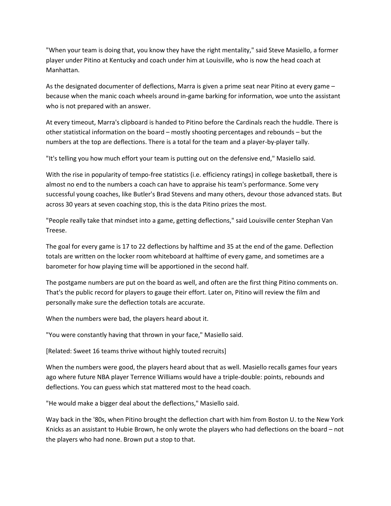"When your team is doing that, you know they have the right mentality," said Steve Masiello, a former player under Pitino at Kentucky and coach under him at Louisville, who is now the head coach at Manhattan.

As the designated documenter of deflections, Marra is given a prime seat near Pitino at every game – because when the manic coach wheels around in-game barking for information, woe unto the assistant who is not prepared with an answer.

At every timeout, Marra's clipboard is handed to Pitino before the Cardinals reach the huddle. There is other statistical information on the board – mostly shooting percentages and rebounds – but the numbers at the top are deflections. There is a total for the team and a player-by-player tally.

"It's telling you how much effort your team is putting out on the defensive end," Masiello said.

With the rise in popularity of tempo-free statistics (i.e. efficiency ratings) in college basketball, there is almost no end to the numbers a coach can have to appraise his team's performance. Some very successful young coaches, like Butler's Brad Stevens and many others, devour those advanced stats. But across 30 years at seven coaching stop, this is the data Pitino prizes the most.

"People really take that mindset into a game, getting deflections," said Louisville center Stephan Van Treese.

The goal for every game is 17 to 22 deflections by halftime and 35 at the end of the game. Deflection totals are written on the locker room whiteboard at halftime of every game, and sometimes are a barometer for how playing time will be apportioned in the second half.

The postgame numbers are put on the board as well, and often are the first thing Pitino comments on. That's the public record for players to gauge their effort. Later on, Pitino will review the film and personally make sure the deflection totals are accurate.

When the numbers were bad, the players heard about it.

"You were constantly having that thrown in your face," Masiello said.

[Related: Sweet 16 teams thrive without highly touted recruits]

When the numbers were good, the players heard about that as well. Masiello recalls games four years ago where future NBA player Terrence Williams would have a triple-double: points, rebounds and deflections. You can guess which stat mattered most to the head coach.

"He would make a bigger deal about the deflections," Masiello said.

Way back in the '80s, when Pitino brought the deflection chart with him from Boston U. to the New York Knicks as an assistant to Hubie Brown, he only wrote the players who had deflections on the board – not the players who had none. Brown put a stop to that.